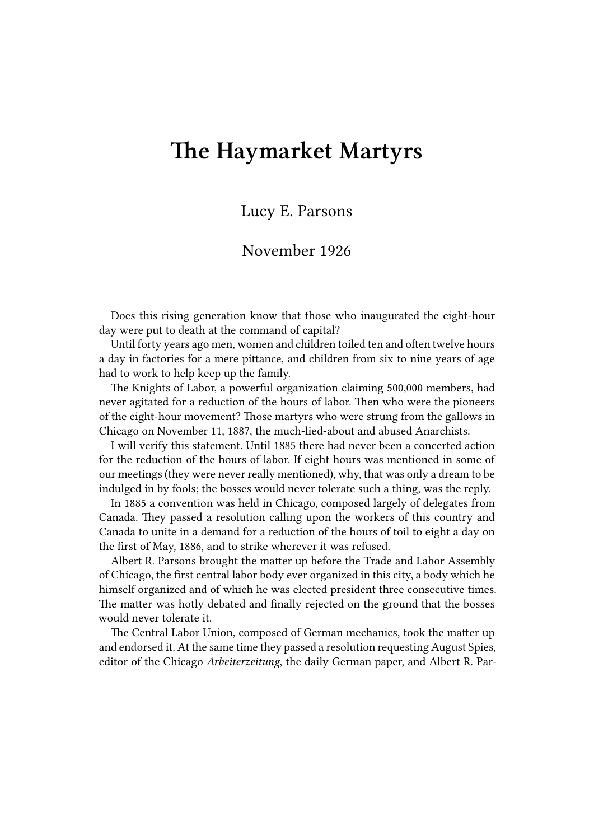## **The Haymarket Martyrs**

## Lucy E. Parsons

## November 1926

Does this rising generation know that those who inaugurated the eight-hour day were put to death at the command of capital?

Until forty years ago men, women and children toiled ten and often twelve hours a day in factories for a mere pittance, and children from six to nine years of age had to work to help keep up the family.

The Knights of Labor, a powerful organization claiming 500,000 members, had never agitated for a reduction of the hours of labor. Then who were the pioneers of the eight-hour movement? Those martyrs who were strung from the gallows in Chicago on November 11, 1887, the much-lied-about and abused Anarchists.

I will verify this statement. Until 1885 there had never been a concerted action for the reduction of the hours of labor. If eight hours was mentioned in some of our meetings (they were never really mentioned), why, that was only a dream to be indulged in by fools; the bosses would never tolerate such a thing, was the reply.

In 1885 a convention was held in Chicago, composed largely of delegates from Canada. They passed a resolution calling upon the workers of this country and Canada to unite in a demand for a reduction of the hours of toil to eight a day on the first of May, 1886, and to strike wherever it was refused.

Albert R. Parsons brought the matter up before the Trade and Labor Assembly of Chicago, the first central labor body ever organized in this city, a body which he himself organized and of which he was elected president three consecutive times. The matter was hotly debated and finally rejected on the ground that the bosses would never tolerate it.

The Central Labor Union, composed of German mechanics, took the matter up and endorsed it. At the same time they passed a resolution requesting August Spies, editor of the Chicago *Arbeiterzeitung*, the daily German paper, and Albert R. Par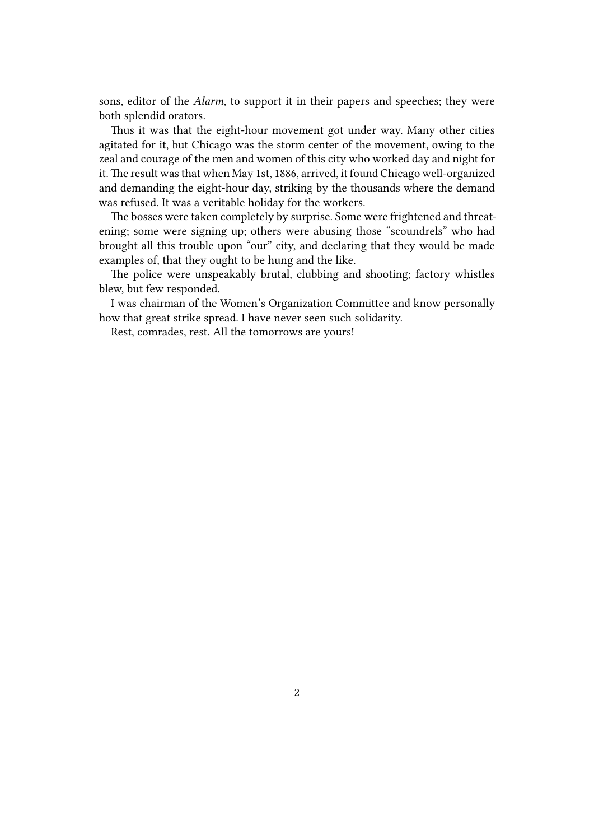sons, editor of the *Alarm*, to support it in their papers and speeches; they were both splendid orators.

Thus it was that the eight-hour movement got under way. Many other cities agitated for it, but Chicago was the storm center of the movement, owing to the zeal and courage of the men and women of this city who worked day and night for it.The result was that when May 1st, 1886, arrived, it found Chicago well-organized and demanding the eight-hour day, striking by the thousands where the demand was refused. It was a veritable holiday for the workers.

The bosses were taken completely by surprise. Some were frightened and threatening; some were signing up; others were abusing those "scoundrels" who had brought all this trouble upon "our" city, and declaring that they would be made examples of, that they ought to be hung and the like.

The police were unspeakably brutal, clubbing and shooting; factory whistles blew, but few responded.

I was chairman of the Women's Organization Committee and know personally how that great strike spread. I have never seen such solidarity.

Rest, comrades, rest. All the tomorrows are yours!